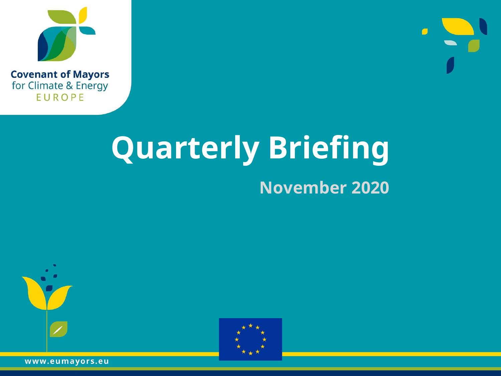



#### **Quarterly Briefing November 2020**





www.eumayors.eu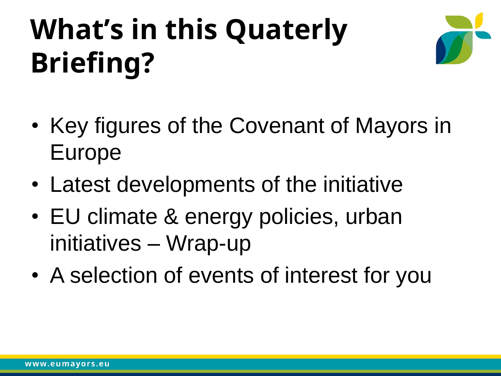# **What's in this Quaterly Briefing?**



- Key figures of the Covenant of Mayors in Europe
- Latest developments of the initiative
- EU climate & energy policies, urban initiatives – Wrap-up
- A selection of events of interest for you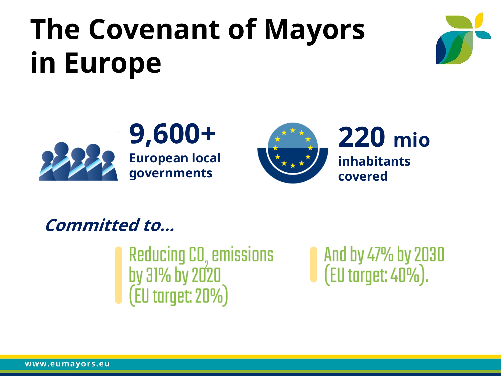### **The Covenant of Mayors in Europe**





#### **9,600+ European local governments**



**Committed to…**

Reducing CO, emissions<br>by 31% by 2020<br>(EU target: 20%)

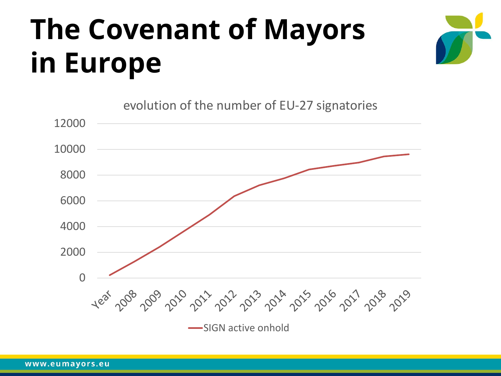### **The Covenant of Mayors in Europe**



evolution of the number of EU-27 signatories

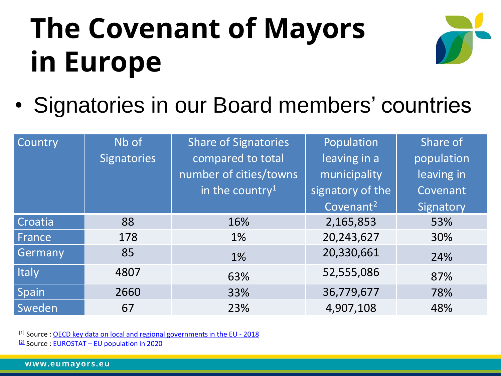# **The Covenant of Mayors in Europe**



• Signatories in our Board members' countries

| Country      | Nb of<br><b>Signatories</b> | <b>Share of Signatories</b><br>compared to total<br>number of cities/towns<br>in the country <sup>1</sup> | Population<br>leaving in a<br>municipality<br>signatory of the<br>Covenant <sup>2</sup> | Share of<br>population<br>leaving in<br>Covenant<br>Signatory |
|--------------|-----------------------------|-----------------------------------------------------------------------------------------------------------|-----------------------------------------------------------------------------------------|---------------------------------------------------------------|
| Croatia      | 88                          | 16%                                                                                                       | 2,165,853                                                                               | 53%                                                           |
| France       | 178                         | 1%                                                                                                        | 20,243,627                                                                              | 30%                                                           |
| Germany      | 85                          | 1%                                                                                                        | 20,330,661                                                                              | 24%                                                           |
| <b>Italy</b> | 4807                        | 63%                                                                                                       | 52,555,086                                                                              | 87%                                                           |
| Spain        | 2660                        | 33%                                                                                                       | 36,779,677                                                                              | 78%                                                           |
| Sweden       | 67                          | 23%                                                                                                       | 4,907,108                                                                               | 48%                                                           |

 $11$  Source : [OECD key data on local and regional governments in the EU -](http://www.oecd.org/regional/EU-Local-government-key-data.pdf) 2018  $12$  Source : EUROSTAT – [EU population in 2020](https://ec.europa.eu/eurostat/documents/2995521/11081093/3-10072020-AP-EN.pdf/d2f799bf-4412-05cc-a357-7b49b93615f1)

www.eumayors.eu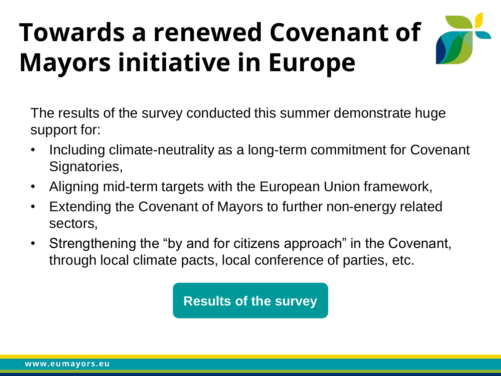#### **Towards a renewed Covenant of Mayors initiative in Europe**

The results of the survey conducted this summer demonstrate huge support for:

- Including climate-neutrality as a long-term commitment for Covenant Signatories,
- Aligning mid-term targets with the European Union framework,
- Extending the Covenant of Mayors to further non-energy related sectors,
- Strengthening the "by and for citizens approach" in the Covenant, through local climate pacts, local conference of parties, etc.

**Results [of the survey](https://www.eumayors.eu/index.php?option=com_attachments&task=download&id=980)**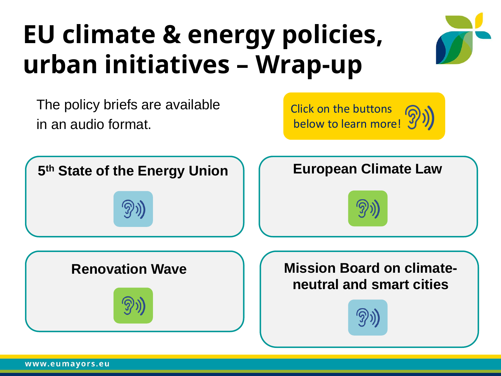#### **EU climate & energy policies, urban initiatives – Wrap-up**

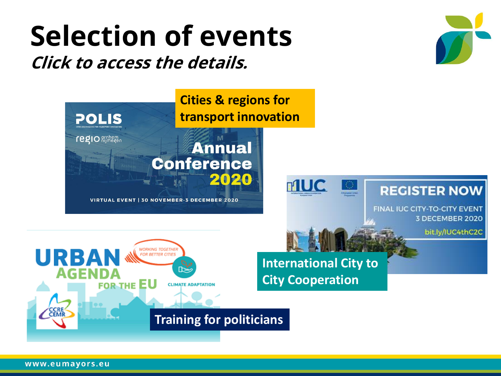#### **Selection of events Click to access the details.**